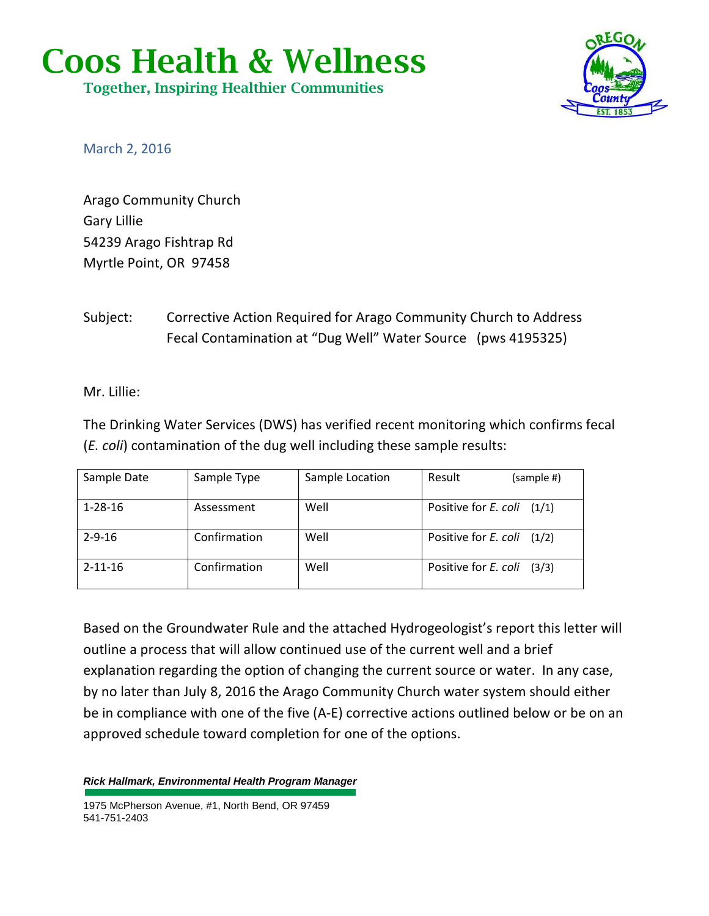## **Coos Health & Wellness**

**Together, Inspiring Healthier Communities**



March 2, 2016

Arago Community Church Gary Lillie 54239 Arago Fishtrap Rd Myrtle Point, OR 97458

Subject: Corrective Action Required for Arago Community Church to Address Fecal Contamination at "Dug Well" Water Source (pws 4195325)

Mr. Lillie:

The Drinking Water Services (DWS) has verified recent monitoring which confirms fecal (*E. coli*) contamination of the dug well including these sample results:

| Sample Date   | Sample Type  | Sample Location | Result<br>(sample #)           |
|---------------|--------------|-----------------|--------------------------------|
| $1 - 28 - 16$ | Assessment   | Well            | Positive for E. coli (1/1)     |
| $2 - 9 - 16$  | Confirmation | Well            | Positive for $E.$ coli $(1/2)$ |
| $2 - 11 - 16$ | Confirmation | Well            | Positive for E. coli<br>(3/3)  |

Based on the Groundwater Rule and the attached Hydrogeologist's report this letter will outline a process that will allow continued use of the current well and a brief explanation regarding the option of changing the current source or water. In any case, by no later than July 8, 2016 the Arago Community Church water system should either be in compliance with one of the five (A-E) corrective actions outlined below or be on an approved schedule toward completion for one of the options.

**Rick Hallmark, Environmental Health Program Manager**

1975 McPherson Avenue, #1, North Bend, OR 97459 541-751-2403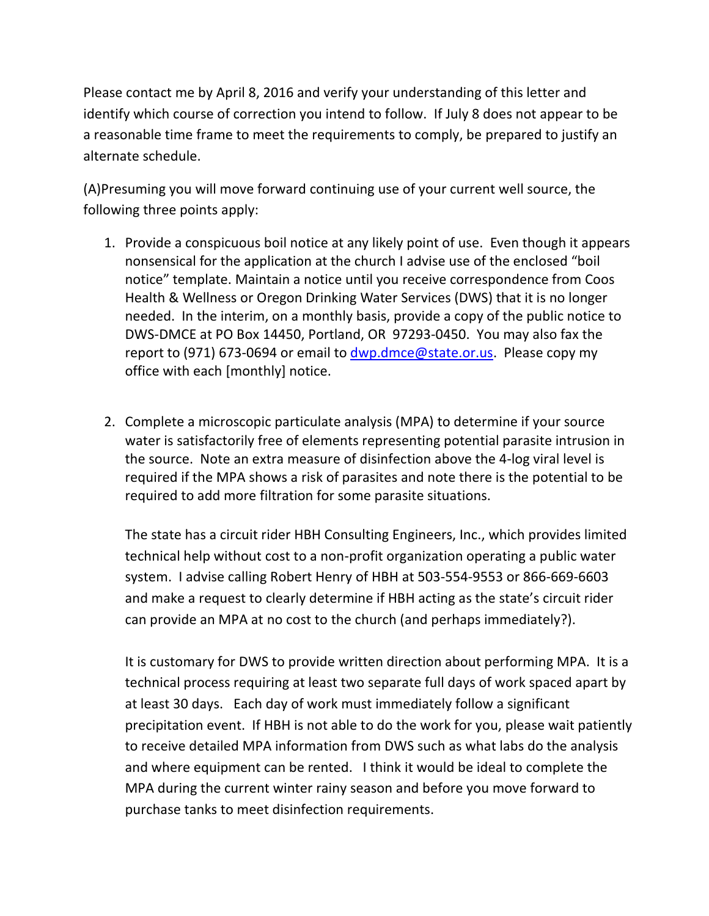Please contact me by April 8, 2016 and verify your understanding of this letter and identify which course of correction you intend to follow. If July 8 does not appear to be a reasonable time frame to meet the requirements to comply, be prepared to justify an alternate schedule.

(A)Presuming you will move forward continuing use of your current well source, the following three points apply:

- 1. Provide a conspicuous boil notice at any likely point of use. Even though it appears nonsensical for the application at the church I advise use of the enclosed "boil notice" template. Maintain a notice until you receive correspondence from Coos Health & Wellness or Oregon Drinking Water Services (DWS) that it is no longer needed. In the interim, on a monthly basis, provide a copy of the public notice to DWS-DMCE at PO Box 14450, Portland, OR 97293-0450. You may also fax the report to (971) 673-0694 or email to dwp.dmce@state.or.us. Please copy my office with each [monthly] notice.
- 2. Complete a microscopic particulate analysis (MPA) to determine if your source water is satisfactorily free of elements representing potential parasite intrusion in the source. Note an extra measure of disinfection above the 4-log viral level is required if the MPA shows a risk of parasites and note there is the potential to be required to add more filtration for some parasite situations.

The state has a circuit rider HBH Consulting Engineers, Inc., which provides limited technical help without cost to a non-profit organization operating a public water system. I advise calling Robert Henry of HBH at 503-554-9553 or 866-669-6603 and make a request to clearly determine if HBH acting as the state's circuit rider can provide an MPA at no cost to the church (and perhaps immediately?).

It is customary for DWS to provide written direction about performing MPA. It is a technical process requiring at least two separate full days of work spaced apart by at least 30 days. Each day of work must immediately follow a significant precipitation event. If HBH is not able to do the work for you, please wait patiently to receive detailed MPA information from DWS such as what labs do the analysis and where equipment can be rented. I think it would be ideal to complete the MPA during the current winter rainy season and before you move forward to purchase tanks to meet disinfection requirements.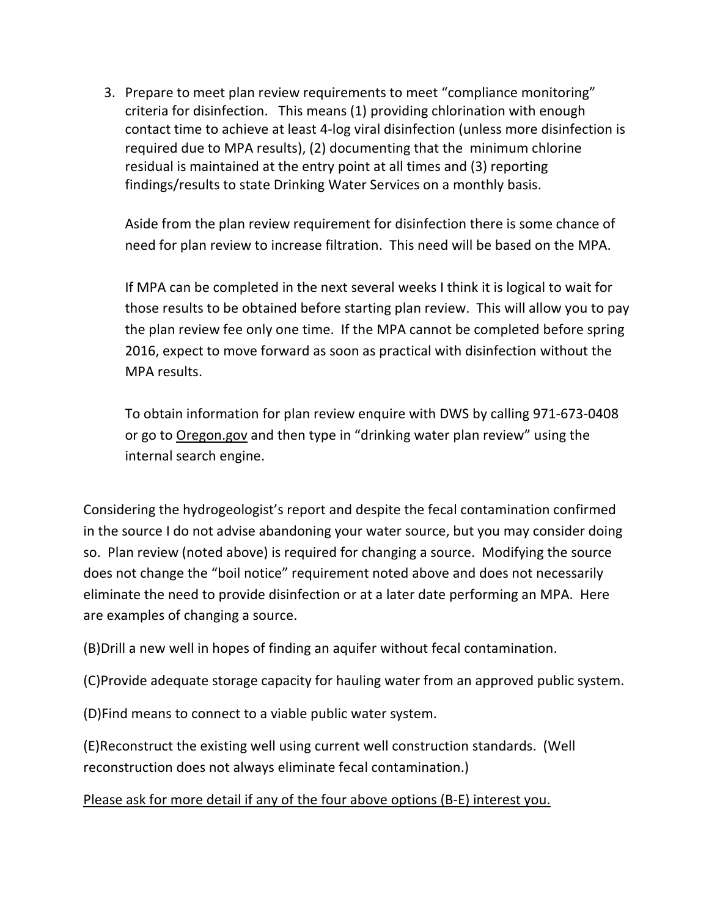3. Prepare to meet plan review requirements to meet "compliance monitoring" criteria for disinfection. This means (1) providing chlorination with enough contact time to achieve at least 4-log viral disinfection (unless more disinfection is required due to MPA results), (2) documenting that the minimum chlorine residual is maintained at the entry point at all times and (3) reporting findings/results to state Drinking Water Services on a monthly basis.

Aside from the plan review requirement for disinfection there is some chance of need for plan review to increase filtration. This need will be based on the MPA.

If MPA can be completed in the next several weeks I think it is logical to wait for those results to be obtained before starting plan review. This will allow you to pay the plan review fee only one time. If the MPA cannot be completed before spring 2016, expect to move forward as soon as practical with disinfection without the MPA results.

To obtain information for plan review enquire with DWS by calling 971-673-0408 or go to Oregon.gov and then type in "drinking water plan review" using the internal search engine.

Considering the hydrogeologist's report and despite the fecal contamination confirmed in the source I do not advise abandoning your water source, but you may consider doing so. Plan review (noted above) is required for changing a source. Modifying the source does not change the "boil notice" requirement noted above and does not necessarily eliminate the need to provide disinfection or at a later date performing an MPA. Here are examples of changing a source.

(B)Drill a new well in hopes of finding an aquifer without fecal contamination.

(C)Provide adequate storage capacity for hauling water from an approved public system.

(D)Find means to connect to a viable public water system.

(E)Reconstruct the existing well using current well construction standards. (Well reconstruction does not always eliminate fecal contamination.)

Please ask for more detail if any of the four above options (B-E) interest you.